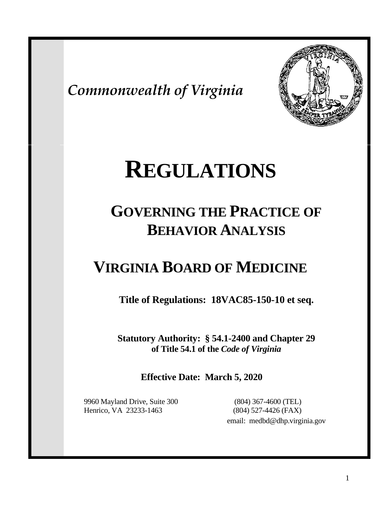*Commonwealth of Virginia*



# **REGULATIONS**

# **GOVERNING THE PRACTICE OF BEHAVIOR ANALYSIS**

# **VIRGINIA BOARD OF MEDICINE**

**Title of Regulations: 18VAC85-150-10 et seq.**

**Statutory Authority: § 54.1-2400 and Chapter 29 of Title 54.1 of the** *Code of Virginia*

**Effective Date: March 5, 2020**

9960 Mayland Drive, Suite 300 (804) 367-4600 (TEL) Henrico, VA 23233-1463 (804) 527-4426 (FAX)

email: medbd@dhp.virginia.gov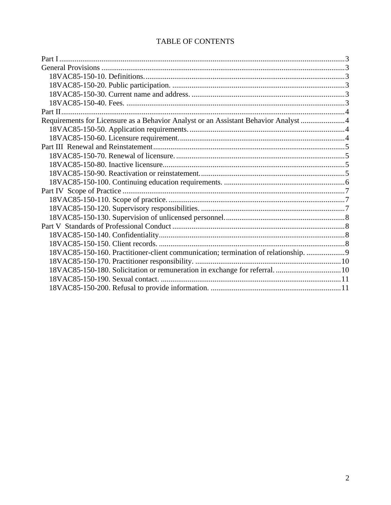### TABLE OF CONTENTS

| Requirements for Licensure as a Behavior Analyst or an Assistant Behavior Analyst 4 |  |
|-------------------------------------------------------------------------------------|--|
|                                                                                     |  |
|                                                                                     |  |
|                                                                                     |  |
|                                                                                     |  |
|                                                                                     |  |
|                                                                                     |  |
|                                                                                     |  |
|                                                                                     |  |
|                                                                                     |  |
|                                                                                     |  |
|                                                                                     |  |
|                                                                                     |  |
|                                                                                     |  |
|                                                                                     |  |
| 18VAC85-150-160. Practitioner-client communication; termination of relationship.  9 |  |
|                                                                                     |  |
|                                                                                     |  |
|                                                                                     |  |
|                                                                                     |  |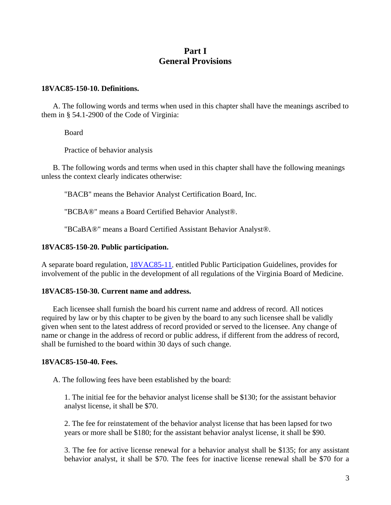# **Part I General Provisions**

#### <span id="page-2-2"></span><span id="page-2-1"></span><span id="page-2-0"></span>**18VAC85-150-10. Definitions.**

A. The following words and terms when used in this chapter shall have the meanings ascribed to them in § 54.1-2900 of the Code of Virginia:

Board

Practice of behavior analysis

B. The following words and terms when used in this chapter shall have the following meanings unless the context clearly indicates otherwise:

"BACB" means the Behavior Analyst Certification Board, Inc.

"BCBA®" means a Board Certified Behavior Analyst®.

"BCaBA®" means a Board Certified Assistant Behavior Analyst®.

#### <span id="page-2-3"></span>**18VAC85-150-20. Public participation.**

<span id="page-2-4"></span>A separate board regulation, [18VAC85-11,](https://law.lis.virginia.gov/admincode/title18/agency85/chapter11/) entitled Public Participation Guidelines, provides for involvement of the public in the development of all regulations of the Virginia Board of Medicine.

#### **18VAC85-150-30. Current name and address.**

Each licensee shall furnish the board his current name and address of record. All notices required by law or by this chapter to be given by the board to any such licensee shall be validly given when sent to the latest address of record provided or served to the licensee. Any change of name or change in the address of record or public address, if different from the address of record, shall be furnished to the board within 30 days of such change.

#### <span id="page-2-5"></span>**18VAC85-150-40. Fees.**

A. The following fees have been established by the board:

1. The initial fee for the behavior analyst license shall be \$130; for the assistant behavior analyst license, it shall be \$70.

2. The fee for reinstatement of the behavior analyst license that has been lapsed for two years or more shall be \$180; for the assistant behavior analyst license, it shall be \$90.

3. The fee for active license renewal for a behavior analyst shall be \$135; for any assistant behavior analyst, it shall be \$70. The fees for inactive license renewal shall be \$70 for a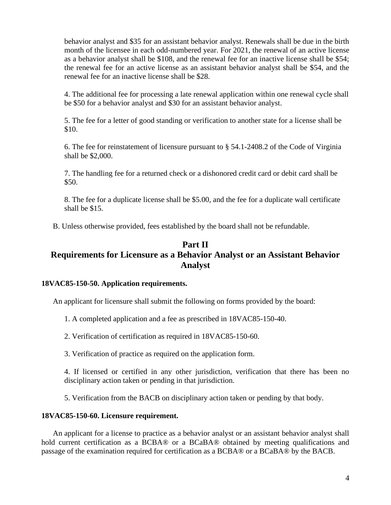behavior analyst and \$35 for an assistant behavior analyst. Renewals shall be due in the birth month of the licensee in each odd-numbered year. For 2021, the renewal of an active license as a behavior analyst shall be \$108, and the renewal fee for an inactive license shall be \$54; the renewal fee for an active license as an assistant behavior analyst shall be \$54, and the renewal fee for an inactive license shall be \$28.

4. The additional fee for processing a late renewal application within one renewal cycle shall be \$50 for a behavior analyst and \$30 for an assistant behavior analyst.

5. The fee for a letter of good standing or verification to another state for a license shall be \$10.

6. The fee for reinstatement of licensure pursuant to § 54.1-2408.2 of the Code of Virginia shall be \$2,000.

7. The handling fee for a returned check or a dishonored credit card or debit card shall be \$50.

8. The fee for a duplicate license shall be \$5.00, and the fee for a duplicate wall certificate shall be \$15.

B. Unless otherwise provided, fees established by the board shall not be refundable.

# <span id="page-3-1"></span><span id="page-3-0"></span>**Part II Requirements for Licensure as a Behavior Analyst or an Assistant Behavior Analyst**

#### <span id="page-3-2"></span>**18VAC85-150-50. Application requirements.**

An applicant for licensure shall submit the following on forms provided by the board:

- 1. A completed application and a fee as prescribed in 18VAC85-150-40.
- 2. Verification of certification as required in 18VAC85-150-60.
- 3. Verification of practice as required on the application form.

4. If licensed or certified in any other jurisdiction, verification that there has been no disciplinary action taken or pending in that jurisdiction.

5. Verification from the BACB on disciplinary action taken or pending by that body.

#### <span id="page-3-3"></span>**18VAC85-150-60. Licensure requirement.**

An applicant for a license to practice as a behavior analyst or an assistant behavior analyst shall hold current certification as a BCBA® or a BCaBA® obtained by meeting qualifications and passage of the examination required for certification as a BCBA® or a BCaBA® by the BACB.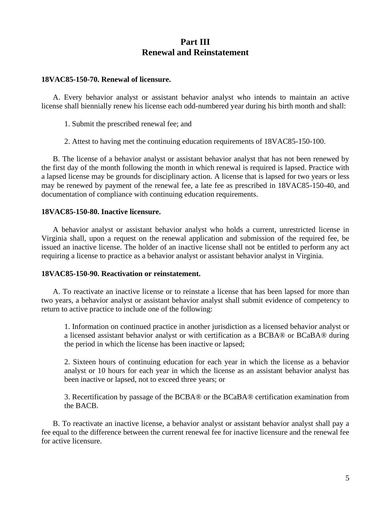# **Part III Renewal and Reinstatement**

#### <span id="page-4-1"></span><span id="page-4-0"></span>**18VAC85-150-70. Renewal of licensure.**

A. Every behavior analyst or assistant behavior analyst who intends to maintain an active license shall biennially renew his license each odd-numbered year during his birth month and shall:

- 1. Submit the prescribed renewal fee; and
- 2. Attest to having met the continuing education requirements of 18VAC85-150-100.

B. The license of a behavior analyst or assistant behavior analyst that has not been renewed by the first day of the month following the month in which renewal is required is lapsed. Practice with a lapsed license may be grounds for disciplinary action. A license that is lapsed for two years or less may be renewed by payment of the renewal fee, a late fee as prescribed in 18VAC85-150-40, and documentation of compliance with continuing education requirements.

#### <span id="page-4-2"></span>**18VAC85-150-80. Inactive licensure.**

A behavior analyst or assistant behavior analyst who holds a current, unrestricted license in Virginia shall, upon a request on the renewal application and submission of the required fee, be issued an inactive license. The holder of an inactive license shall not be entitled to perform any act requiring a license to practice as a behavior analyst or assistant behavior analyst in Virginia.

#### <span id="page-4-3"></span>**18VAC85-150-90. Reactivation or reinstatement.**

A. To reactivate an inactive license or to reinstate a license that has been lapsed for more than two years, a behavior analyst or assistant behavior analyst shall submit evidence of competency to return to active practice to include one of the following:

1. Information on continued practice in another jurisdiction as a licensed behavior analyst or a licensed assistant behavior analyst or with certification as a BCBA® or BCaBA® during the period in which the license has been inactive or lapsed;

2. Sixteen hours of continuing education for each year in which the license as a behavior analyst or 10 hours for each year in which the license as an assistant behavior analyst has been inactive or lapsed, not to exceed three years; or

3. Recertification by passage of the BCBA® or the BCaBA® certification examination from the BACB.

B. To reactivate an inactive license, a behavior analyst or assistant behavior analyst shall pay a fee equal to the difference between the current renewal fee for inactive licensure and the renewal fee for active licensure.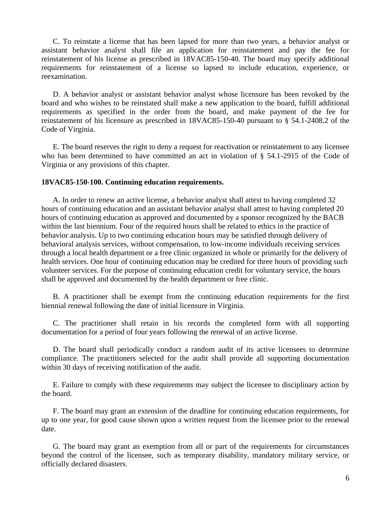C. To reinstate a license that has been lapsed for more than two years, a behavior analyst or assistant behavior analyst shall file an application for reinstatement and pay the fee for reinstatement of his license as prescribed in 18VAC85-150-40. The board may specify additional requirements for reinstatement of a license so lapsed to include education, experience, or reexamination.

D. A behavior analyst or assistant behavior analyst whose licensure has been revoked by the board and who wishes to be reinstated shall make a new application to the board, fulfill additional requirements as specified in the order from the board, and make payment of the fee for reinstatement of his licensure as prescribed in 18VAC85-150-40 pursuant to § 54.1-2408.2 of the Code of Virginia.

E. The board reserves the right to deny a request for reactivation or reinstatement to any licensee who has been determined to have committed an act in violation of § 54.1-2915 of the Code of Virginia or any provisions of this chapter.

#### <span id="page-5-0"></span>**18VAC85-150-100. Continuing education requirements.**

A. In order to renew an active license, a behavior analyst shall attest to having completed 32 hours of continuing education and an assistant behavior analyst shall attest to having completed 20 hours of continuing education as approved and documented by a sponsor recognized by the BACB within the last biennium. Four of the required hours shall be related to ethics in the practice of behavior analysis. Up to two continuing education hours may be satisfied through delivery of behavioral analysis services, without compensation, to low-income individuals receiving services through a local health department or a free clinic organized in whole or primarily for the delivery of health services. One hour of continuing education may be credited for three hours of providing such volunteer services. For the purpose of continuing education credit for voluntary service, the hours shall be approved and documented by the health department or free clinic.

B. A practitioner shall be exempt from the continuing education requirements for the first biennial renewal following the date of initial licensure in Virginia.

C. The practitioner shall retain in his records the completed form with all supporting documentation for a period of four years following the renewal of an active license.

D. The board shall periodically conduct a random audit of its active licensees to determine compliance. The practitioners selected for the audit shall provide all supporting documentation within 30 days of receiving notification of the audit.

E. Failure to comply with these requirements may subject the licensee to disciplinary action by the board.

F. The board may grant an extension of the deadline for continuing education requirements, for up to one year, for good cause shown upon a written request from the licensee prior to the renewal date.

G. The board may grant an exemption from all or part of the requirements for circumstances beyond the control of the licensee, such as temporary disability, mandatory military service, or officially declared disasters.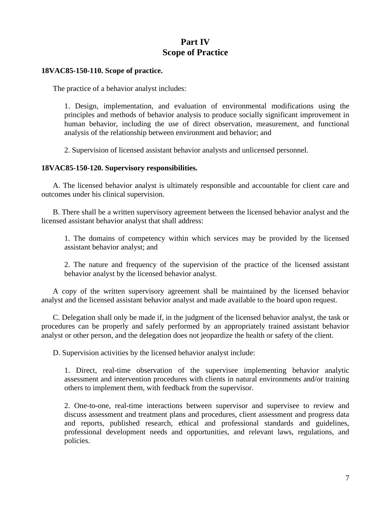# **Part IV Scope of Practice**

#### <span id="page-6-1"></span><span id="page-6-0"></span>**18VAC85-150-110. Scope of practice.**

The practice of a behavior analyst includes:

1. Design, implementation, and evaluation of environmental modifications using the principles and methods of behavior analysis to produce socially significant improvement in human behavior, including the use of direct observation, measurement, and functional analysis of the relationship between environment and behavior; and

2. Supervision of licensed assistant behavior analysts and unlicensed personnel.

#### <span id="page-6-2"></span>**18VAC85-150-120. Supervisory responsibilities.**

A. The licensed behavior analyst is ultimately responsible and accountable for client care and outcomes under his clinical supervision.

B. There shall be a written supervisory agreement between the licensed behavior analyst and the licensed assistant behavior analyst that shall address:

1. The domains of competency within which services may be provided by the licensed assistant behavior analyst; and

2. The nature and frequency of the supervision of the practice of the licensed assistant behavior analyst by the licensed behavior analyst.

A copy of the written supervisory agreement shall be maintained by the licensed behavior analyst and the licensed assistant behavior analyst and made available to the board upon request.

C. Delegation shall only be made if, in the judgment of the licensed behavior analyst, the task or procedures can be properly and safely performed by an appropriately trained assistant behavior analyst or other person, and the delegation does not jeopardize the health or safety of the client.

D. Supervision activities by the licensed behavior analyst include:

1. Direct, real-time observation of the supervisee implementing behavior analytic assessment and intervention procedures with clients in natural environments and/or training others to implement them, with feedback from the supervisor.

2. One-to-one, real-time interactions between supervisor and supervisee to review and discuss assessment and treatment plans and procedures, client assessment and progress data and reports, published research, ethical and professional standards and guidelines, professional development needs and opportunities, and relevant laws, regulations, and policies.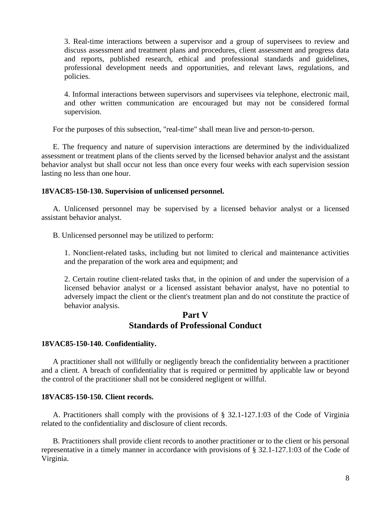3. Real-time interactions between a supervisor and a group of supervisees to review and discuss assessment and treatment plans and procedures, client assessment and progress data and reports, published research, ethical and professional standards and guidelines, professional development needs and opportunities, and relevant laws, regulations, and policies.

4. Informal interactions between supervisors and supervisees via telephone, electronic mail, and other written communication are encouraged but may not be considered formal supervision.

For the purposes of this subsection, "real-time" shall mean live and person-to-person.

E. The frequency and nature of supervision interactions are determined by the individualized assessment or treatment plans of the clients served by the licensed behavior analyst and the assistant behavior analyst but shall occur not less than once every four weeks with each supervision session lasting no less than one hour.

#### <span id="page-7-0"></span>**18VAC85-150-130. Supervision of unlicensed personnel.**

A. Unlicensed personnel may be supervised by a licensed behavior analyst or a licensed assistant behavior analyst.

B. Unlicensed personnel may be utilized to perform:

1. Nonclient-related tasks, including but not limited to clerical and maintenance activities and the preparation of the work area and equipment; and

2. Certain routine client-related tasks that, in the opinion of and under the supervision of a licensed behavior analyst or a licensed assistant behavior analyst, have no potential to adversely impact the client or the client's treatment plan and do not constitute the practice of behavior analysis.

### **Part V Standards of Professional Conduct**

#### <span id="page-7-2"></span><span id="page-7-1"></span>**18VAC85-150-140. Confidentiality.**

A practitioner shall not willfully or negligently breach the confidentiality between a practitioner and a client. A breach of confidentiality that is required or permitted by applicable law or beyond the control of the practitioner shall not be considered negligent or willful.

#### <span id="page-7-3"></span>**18VAC85-150-150. Client records.**

A. Practitioners shall comply with the provisions of § 32.1-127.1:03 of the Code of Virginia related to the confidentiality and disclosure of client records.

B. Practitioners shall provide client records to another practitioner or to the client or his personal representative in a timely manner in accordance with provisions of § 32.1-127.1:03 of the Code of Virginia.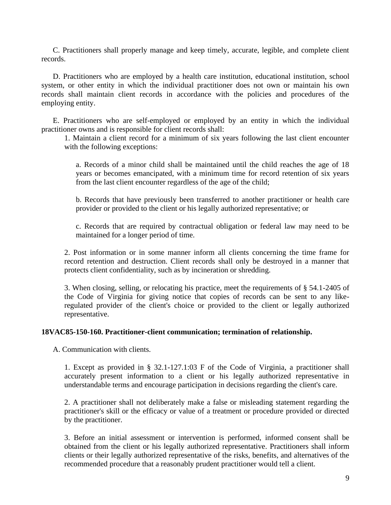C. Practitioners shall properly manage and keep timely, accurate, legible, and complete client records.

D. Practitioners who are employed by a health care institution, educational institution, school system, or other entity in which the individual practitioner does not own or maintain his own records shall maintain client records in accordance with the policies and procedures of the employing entity.

E. Practitioners who are self-employed or employed by an entity in which the individual practitioner owns and is responsible for client records shall:

1. Maintain a client record for a minimum of six years following the last client encounter with the following exceptions:

a. Records of a minor child shall be maintained until the child reaches the age of 18 years or becomes emancipated, with a minimum time for record retention of six years from the last client encounter regardless of the age of the child;

b. Records that have previously been transferred to another practitioner or health care provider or provided to the client or his legally authorized representative; or

c. Records that are required by contractual obligation or federal law may need to be maintained for a longer period of time.

2. Post information or in some manner inform all clients concerning the time frame for record retention and destruction. Client records shall only be destroyed in a manner that protects client confidentiality, such as by incineration or shredding.

3. When closing, selling, or relocating his practice, meet the requirements of § 54.1-2405 of the Code of Virginia for giving notice that copies of records can be sent to any likeregulated provider of the client's choice or provided to the client or legally authorized representative.

#### <span id="page-8-0"></span>**18VAC85-150-160. Practitioner-client communication; termination of relationship.**

A. Communication with clients.

1. Except as provided in § 32.1-127.1:03 F of the Code of Virginia, a practitioner shall accurately present information to a client or his legally authorized representative in understandable terms and encourage participation in decisions regarding the client's care.

2. A practitioner shall not deliberately make a false or misleading statement regarding the practitioner's skill or the efficacy or value of a treatment or procedure provided or directed by the practitioner.

3. Before an initial assessment or intervention is performed, informed consent shall be obtained from the client or his legally authorized representative. Practitioners shall inform clients or their legally authorized representative of the risks, benefits, and alternatives of the recommended procedure that a reasonably prudent practitioner would tell a client.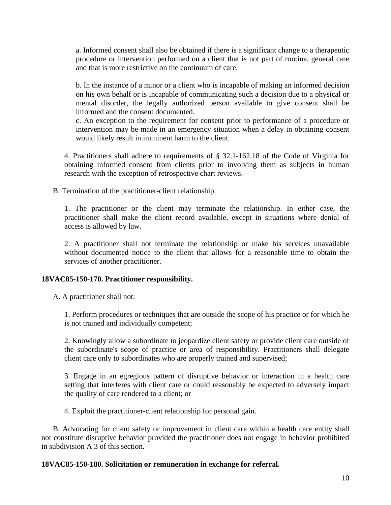a. Informed consent shall also be obtained if there is a significant change to a therapeutic procedure or intervention performed on a client that is not part of routine, general care and that is more restrictive on the continuum of care.

b. In the instance of a minor or a client who is incapable of making an informed decision on his own behalf or is incapable of communicating such a decision due to a physical or mental disorder, the legally authorized person available to give consent shall be informed and the consent documented.

c. An exception to the requirement for consent prior to performance of a procedure or intervention may be made in an emergency situation when a delay in obtaining consent would likely result in imminent harm to the client.

4. Practitioners shall adhere to requirements of § 32.1-162.18 of the Code of Virginia for obtaining informed consent from clients prior to involving them as subjects in human research with the exception of retrospective chart reviews.

B. Termination of the practitioner-client relationship.

1. The practitioner or the client may terminate the relationship. In either case, the practitioner shall make the client record available, except in situations where denial of access is allowed by law.

2. A practitioner shall not terminate the relationship or make his services unavailable without documented notice to the client that allows for a reasonable time to obtain the services of another practitioner.

#### <span id="page-9-0"></span>**18VAC85-150-170. Practitioner responsibility.**

A. A practitioner shall not:

1. Perform procedures or techniques that are outside the scope of his practice or for which he is not trained and individually competent;

2. Knowingly allow a subordinate to jeopardize client safety or provide client care outside of the subordinate's scope of practice or area of responsibility. Practitioners shall delegate client care only to subordinates who are properly trained and supervised;

3. Engage in an egregious pattern of disruptive behavior or interaction in a health care setting that interferes with client care or could reasonably be expected to adversely impact the quality of care rendered to a client; or

4. Exploit the practitioner-client relationship for personal gain.

B. Advocating for client safety or improvement in client care within a health care entity shall not constitute disruptive behavior provided the practitioner does not engage in behavior prohibited in subdivision A 3 of this section.

#### <span id="page-9-1"></span>**18VAC85-150-180. Solicitation or remuneration in exchange for referral.**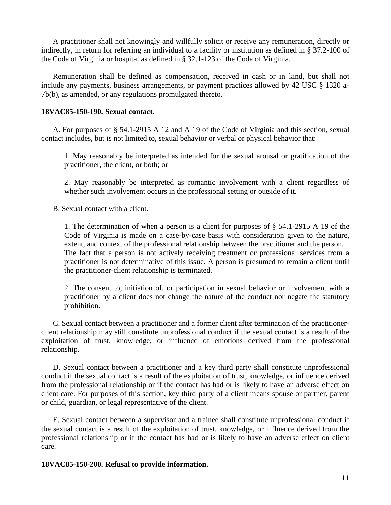A practitioner shall not knowingly and willfully solicit or receive any remuneration, directly or indirectly, in return for referring an individual to a facility or institution as defined in § 37.2-100 of the Code of Virginia or hospital as defined in § 32.1-123 of the Code of Virginia.

Remuneration shall be defined as compensation, received in cash or in kind, but shall not include any payments, business arrangements, or payment practices allowed by 42 USC § 1320 a-7b(b), as amended, or any regulations promulgated thereto.

#### <span id="page-10-0"></span>**18VAC85-150-190. Sexual contact.**

A. For purposes of § 54.1-2915 A 12 and A 19 of the Code of Virginia and this section, sexual contact includes, but is not limited to, sexual behavior or verbal or physical behavior that:

1. May reasonably be interpreted as intended for the sexual arousal or gratification of the practitioner, the client, or both; or

2. May reasonably be interpreted as romantic involvement with a client regardless of whether such involvement occurs in the professional setting or outside of it.

B. Sexual contact with a client.

1. The determination of when a person is a client for purposes of § 54.1-2915 A 19 of the Code of Virginia is made on a case-by-case basis with consideration given to the nature, extent, and context of the professional relationship between the practitioner and the person. The fact that a person is not actively receiving treatment or professional services from a practitioner is not determinative of this issue. A person is presumed to remain a client until the practitioner-client relationship is terminated.

2. The consent to, initiation of, or participation in sexual behavior or involvement with a practitioner by a client does not change the nature of the conduct nor negate the statutory prohibition.

C. Sexual contact between a practitioner and a former client after termination of the practitionerclient relationship may still constitute unprofessional conduct if the sexual contact is a result of the exploitation of trust, knowledge, or influence of emotions derived from the professional relationship.

D. Sexual contact between a practitioner and a key third party shall constitute unprofessional conduct if the sexual contact is a result of the exploitation of trust, knowledge, or influence derived from the professional relationship or if the contact has had or is likely to have an adverse effect on client care. For purposes of this section, key third party of a client means spouse or partner, parent or child, guardian, or legal representative of the client.

E. Sexual contact between a supervisor and a trainee shall constitute unprofessional conduct if the sexual contact is a result of the exploitation of trust, knowledge, or influence derived from the professional relationship or if the contact has had or is likely to have an adverse effect on client care.

#### <span id="page-10-1"></span>**18VAC85-150-200. Refusal to provide information.**